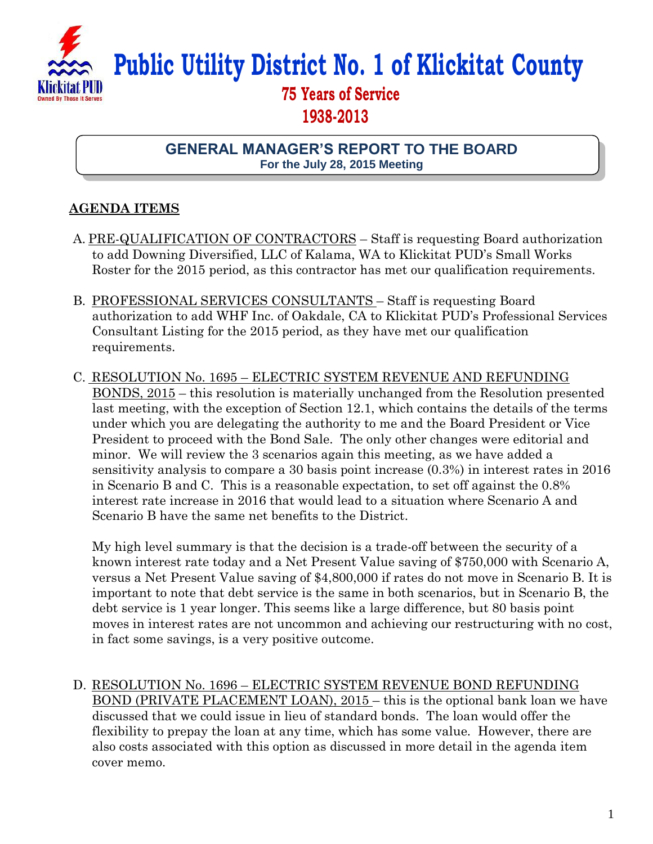

**Public Utility District No. 1 of Klickitat County**

## **75 Years of Service 1938-2013**

**GENERAL MANAGER'S REPORT TO THE BOARD For the July 28, 2015 Meeting**

## **AGENDA ITEMS**

- A. PRE-QUALIFICATION OF CONTRACTORS Staff is requesting Board authorization to add Downing Diversified, LLC of Kalama, WA to Klickitat PUD's Small Works Roster for the 2015 period, as this contractor has met our qualification requirements.
- B. PROFESSIONAL SERVICES CONSULTANTS Staff is requesting Board authorization to add WHF Inc. of Oakdale, CA to Klickitat PUD's Professional Services Consultant Listing for the 2015 period, as they have met our qualification requirements.
- C. RESOLUTION No. 1695 ELECTRIC SYSTEM REVENUE AND REFUNDING BONDS, 2015 – this resolution is materially unchanged from the Resolution presented last meeting, with the exception of Section 12.1, which contains the details of the terms under which you are delegating the authority to me and the Board President or Vice President to proceed with the Bond Sale. The only other changes were editorial and minor. We will review the 3 scenarios again this meeting, as we have added a sensitivity analysis to compare a 30 basis point increase (0.3%) in interest rates in 2016 in Scenario B and C. This is a reasonable expectation, to set off against the 0.8% interest rate increase in 2016 that would lead to a situation where Scenario A and Scenario B have the same net benefits to the District.

My high level summary is that the decision is a trade-off between the security of a known interest rate today and a Net Present Value saving of \$750,000 with Scenario A, versus a Net Present Value saving of \$4,800,000 if rates do not move in Scenario B. It is important to note that debt service is the same in both scenarios, but in Scenario B, the debt service is 1 year longer. This seems like a large difference, but 80 basis point moves in interest rates are not uncommon and achieving our restructuring with no cost, in fact some savings, is a very positive outcome.

D. RESOLUTION No. 1696 – ELECTRIC SYSTEM REVENUE BOND REFUNDING BOND (PRIVATE PLACEMENT LOAN), 2015 – this is the optional bank loan we have discussed that we could issue in lieu of standard bonds. The loan would offer the flexibility to prepay the loan at any time, which has some value. However, there are also costs associated with this option as discussed in more detail in the agenda item cover memo.